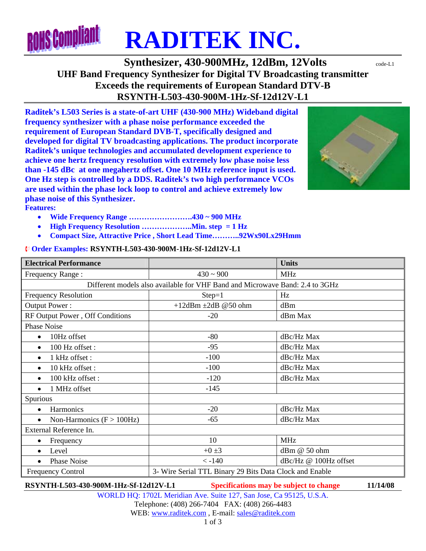

**Synthesizer, 430-900MHz, 12dBm, 12Volts**  $\text{code-LL}$ **UHF Band Frequency Synthesizer for Digital TV Broadcasting transmitter Exceeds the requirements of European Standard DTV-B RSYNTH-L503-430-900M-1Hz-Sf-12d12V-L1** 

**Raditek's L503 Series is a state-of-art UHF (430-900 MHz) Wideband digital frequency synthesizer with a phase noise performance exceeded the requirement of European Standard DVB-T, specifically designed and developed for digital TV broadcasting applications. The product incorporate Raditek's unique technologies and accumulated development experience to achieve one hertz frequency resolution with extremely low phase noise less than -145 dBc at one megahertz offset. One 10 MHz reference input is used. One Hz step is controlled by a DDS. Raditek's two high performance VCOs are used within the phase lock loop to control and achieve extremely low phase noise of this Synthesizer. Features:** 



- **Wide Frequency Range …………………….430 ~ 900 MHz**
- **High Frequency Resolution ………………..Min. step = 1 Hz**
- **Compact Size, Attractive Price , Short Lead Time………..92Wx90Lx29Hmm**

## ¨ **Order Examples: RSYNTH-L503-430-900M-1Hz-Sf-12d12V-L1**

| <b>Electrical Performance</b>                                                |                                                         | <b>Units</b>          |
|------------------------------------------------------------------------------|---------------------------------------------------------|-----------------------|
| Frequency Range:                                                             | $430 \sim 900$                                          | <b>MHz</b>            |
| Different models also available for VHF Band and Microwave Band: 2.4 to 3GHz |                                                         |                       |
| <b>Frequency Resolution</b>                                                  | $Step=1$                                                | Hz                    |
| Output Power:                                                                | +12dBm $\pm 2$ dB @50 ohm                               | dBm                   |
| RF Output Power, Off Conditions                                              | $-20$                                                   | dBm Max               |
| <b>Phase Noise</b>                                                           |                                                         |                       |
| 10Hz offset<br>$\bullet$                                                     | $-80$                                                   | dBc/Hz Max            |
| 100 Hz offset:<br>$\bullet$                                                  | $-95$                                                   | dBc/Hz Max            |
| 1 kHz offset:<br>$\bullet$                                                   | $-100$                                                  | dBc/Hz Max            |
| 10 kHz offset:                                                               | $-100$                                                  | dBc/Hz Max            |
| 100 kHz offset:<br>$\bullet$                                                 | $-120$                                                  | dBc/Hz Max            |
| 1 MHz offset<br>$\bullet$                                                    | $-145$                                                  |                       |
| Spurious                                                                     |                                                         |                       |
| Harmonics<br>$\bullet$                                                       | $-20$                                                   | dBc/Hz Max            |
| Non-Harmonics $(F > 100 Hz)$<br>$\bullet$                                    | $-65$                                                   | dBc/Hz Max            |
| External Reference In.                                                       |                                                         |                       |
| Frequency<br>٠                                                               | 10                                                      | <b>MHz</b>            |
| Level<br>$\bullet$                                                           | $+0\pm3$                                                | dBm @ 50 ohm          |
| <b>Phase Noise</b>                                                           | $< -140$                                                | dBc/Hz @ 100Hz offset |
| <b>Frequency Control</b>                                                     | 3- Wire Serial TTL Binary 29 Bits Data Clock and Enable |                       |

**RSYNTH-L503-430-900M-1Hz-Sf-12d12V-L1 Specifications may be subject to change 11/14/08**

WORLD HQ: 1702L Meridian Ave. Suite 127, San Jose, Ca 95125, U.S.A. Telephone: (408) 266-7404 FAX: (408) 266-4483 WEB: www.raditek.com, E-mail: sales@raditek.com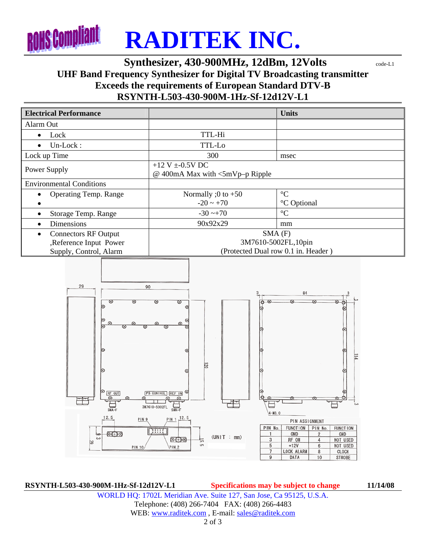

## **Synthesizer, 430-900MHz, 12dBm, 12Volts**  $\text{code-L1}$ **UHF Band Frequency Synthesizer for Digital TV Broadcasting transmitter Exceeds the requirements of European Standard DTV-B RSYNTH-L503-430-900M-1Hz-Sf-12d12V-L1**



**RSYNTH-L503-430-900M-1Hz-Sf-12d12V-L1 Specifications may be subject to change 11/14/08** WORLD HQ: 1702L Meridian Ave. Suite 127, San Jose, Ca 95125, U.S.A. Telephone: (408) 266-7404 FAX: (408) 266-4483 WEB: www.raditek.com, E-mail: sales@raditek.com